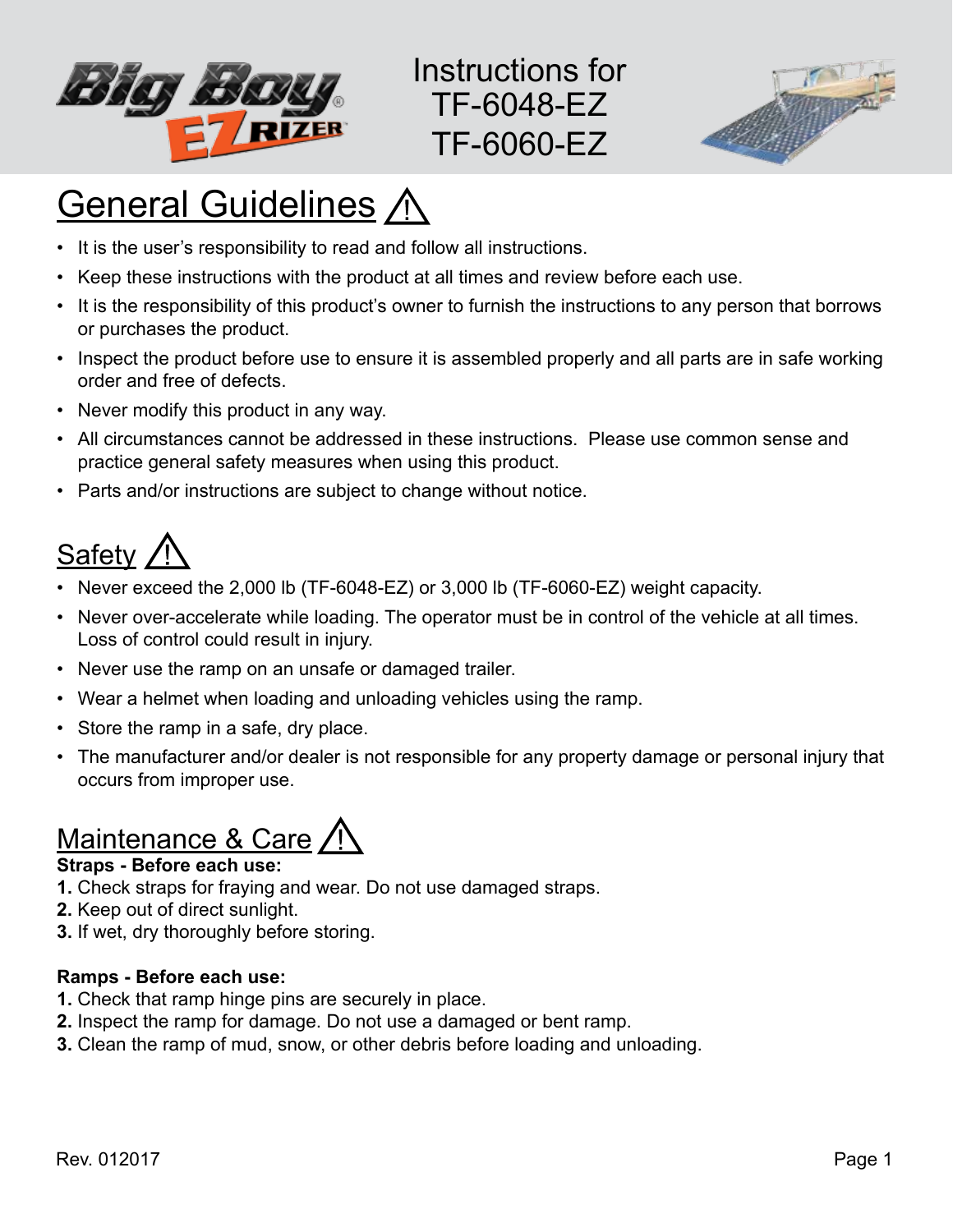

Instructions for TF-6048-EZ TF-6060-EZ



# **General Guidelines A**

- It is the user's responsibility to read and follow all instructions.
- Keep these instructions with the product at all times and review before each use.
- It is the responsibility of this product's owner to furnish the instructions to any person that borrows or purchases the product.
- Inspect the product before use to ensure it is assembled properly and all parts are in safe working order and free of defects.
- Never modify this product in any way.
- All circumstances cannot be addressed in these instructions. Please use common sense and practice general safety measures when using this product.
- Parts and/or instructions are subject to change without notice.

### Safety

- Never exceed the 2,000 lb (TF-6048-EZ) or 3,000 lb (TF-6060-EZ) weight capacity.
- Never over-accelerate while loading. The operator must be in control of the vehicle at all times. Loss of control could result in injury.
- Never use the ramp on an unsafe or damaged trailer.
- Wear a helmet when loading and unloading vehicles using the ramp.
- Store the ramp in a safe, dry place.
- The manufacturer and/or dealer is not responsible for any property damage or personal injury that occurs from improper use.

### Maintenance & Care /

#### **Straps - Before each use:**

- **1.** Check straps for fraying and wear. Do not use damaged straps.
- **2.** Keep out of direct sunlight.
- **3.** If wet, dry thoroughly before storing.

#### **Ramps - Before each use:**

- **1.** Check that ramp hinge pins are securely in place.
- **2.** Inspect the ramp for damage. Do not use a damaged or bent ramp.
- **3.** Clean the ramp of mud, snow, or other debris before loading and unloading.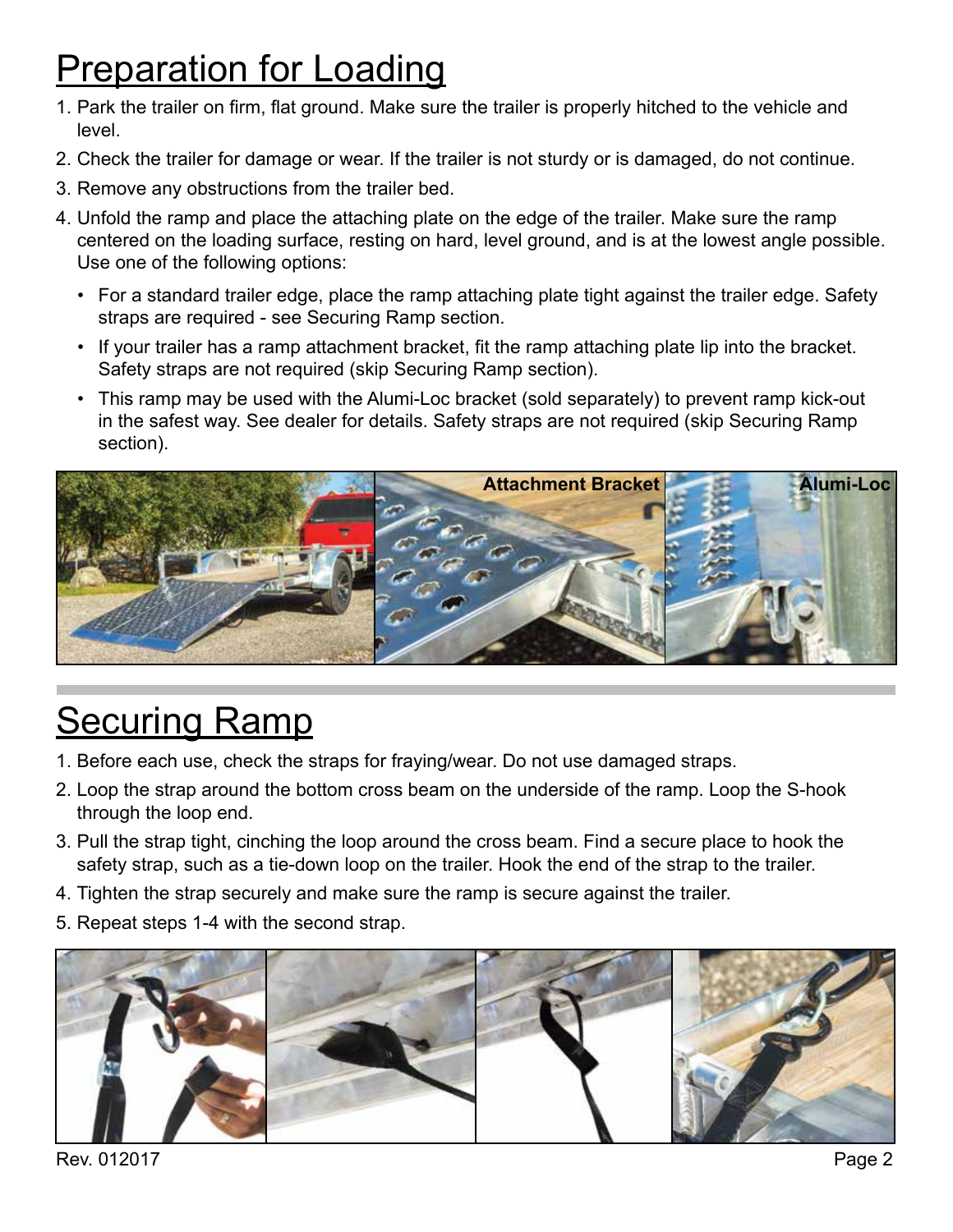### **Preparation for Loading**

- 1. Park the trailer on firm, flat ground. Make sure the trailer is properly hitched to the vehicle and level.
- 2. Check the trailer for damage or wear. If the trailer is not sturdy or is damaged, do not continue.
- 3. Remove any obstructions from the trailer bed.
- 4. Unfold the ramp and place the attaching plate on the edge of the trailer. Make sure the ramp centered on the loading surface, resting on hard, level ground, and is at the lowest angle possible. Use one of the following options:
	- For a standard trailer edge, place the ramp attaching plate tight against the trailer edge. Safety straps are required - see Securing Ramp section.
	- If your trailer has a ramp attachment bracket, fit the ramp attaching plate lip into the bracket. Safety straps are not required (skip Securing Ramp section).
	- This ramp may be used with the Alumi-Loc bracket (sold separately) to prevent ramp kick-out in the safest way. See dealer for details. Safety straps are not required (skip Securing Ramp section).



# **Securing Ramp**

- 1. Before each use, check the straps for fraying/wear. Do not use damaged straps.
- 2. Loop the strap around the bottom cross beam on the underside of the ramp. Loop the S-hook through the loop end.
- 3. Pull the strap tight, cinching the loop around the cross beam. Find a secure place to hook the safety strap, such as a tie-down loop on the trailer. Hook the end of the strap to the trailer.
- 4. Tighten the strap securely and make sure the ramp is secure against the trailer.
- 5. Repeat steps 1-4 with the second strap.



Rev. 012017 Page 2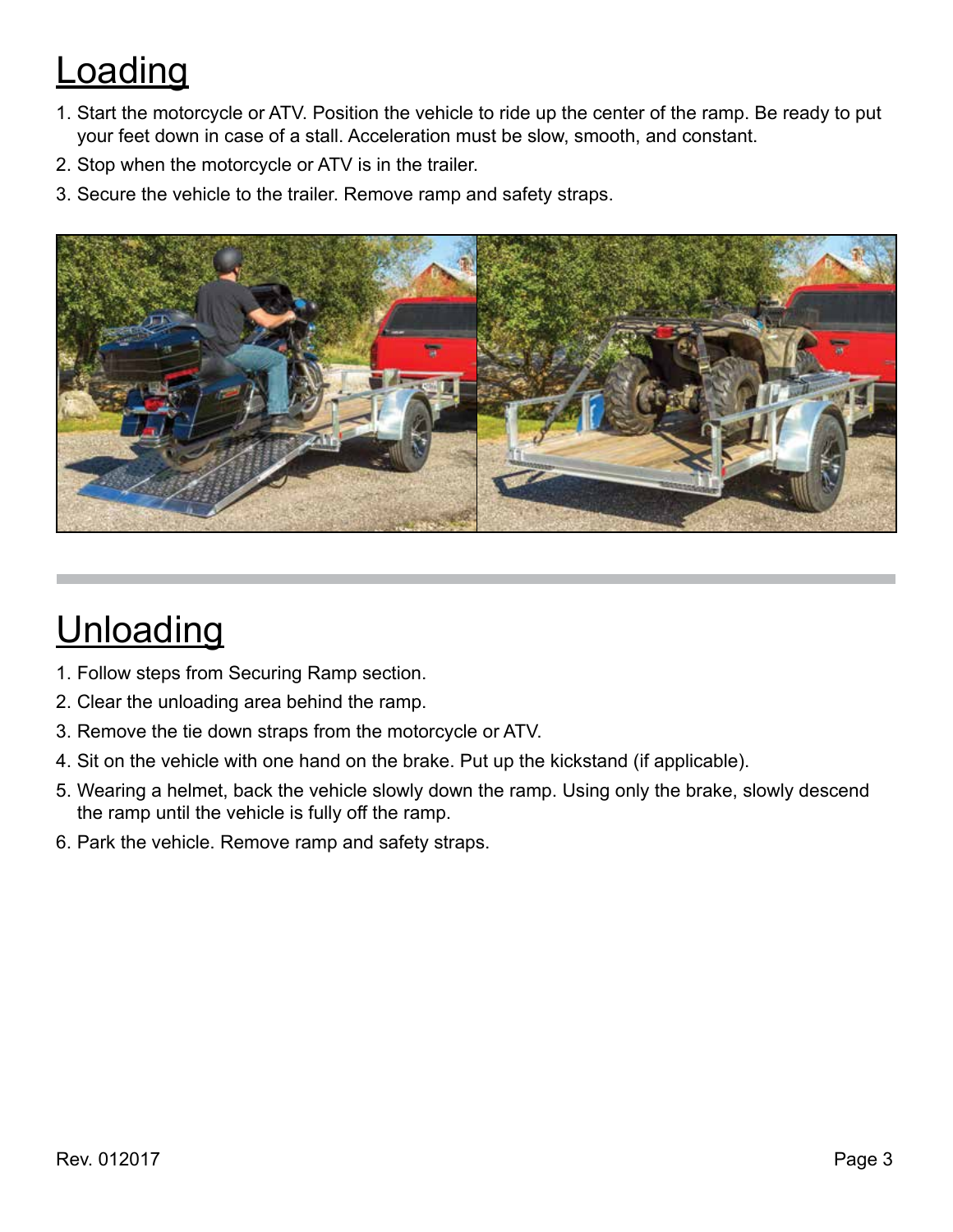# **Loading**

- 1. Start the motorcycle or ATV. Position the vehicle to ride up the center of the ramp. Be ready to put your feet down in case of a stall. Acceleration must be slow, smooth, and constant.
- 2. Stop when the motorcycle or ATV is in the trailer.
- 3. Secure the vehicle to the trailer. Remove ramp and safety straps.



# **Unloading**

- 1. Follow steps from Securing Ramp section.
- 2. Clear the unloading area behind the ramp.
- 3. Remove the tie down straps from the motorcycle or ATV.
- 4. Sit on the vehicle with one hand on the brake. Put up the kickstand (if applicable).
- 5. Wearing a helmet, back the vehicle slowly down the ramp. Using only the brake, slowly descend the ramp until the vehicle is fully off the ramp.
- 6. Park the vehicle. Remove ramp and safety straps.